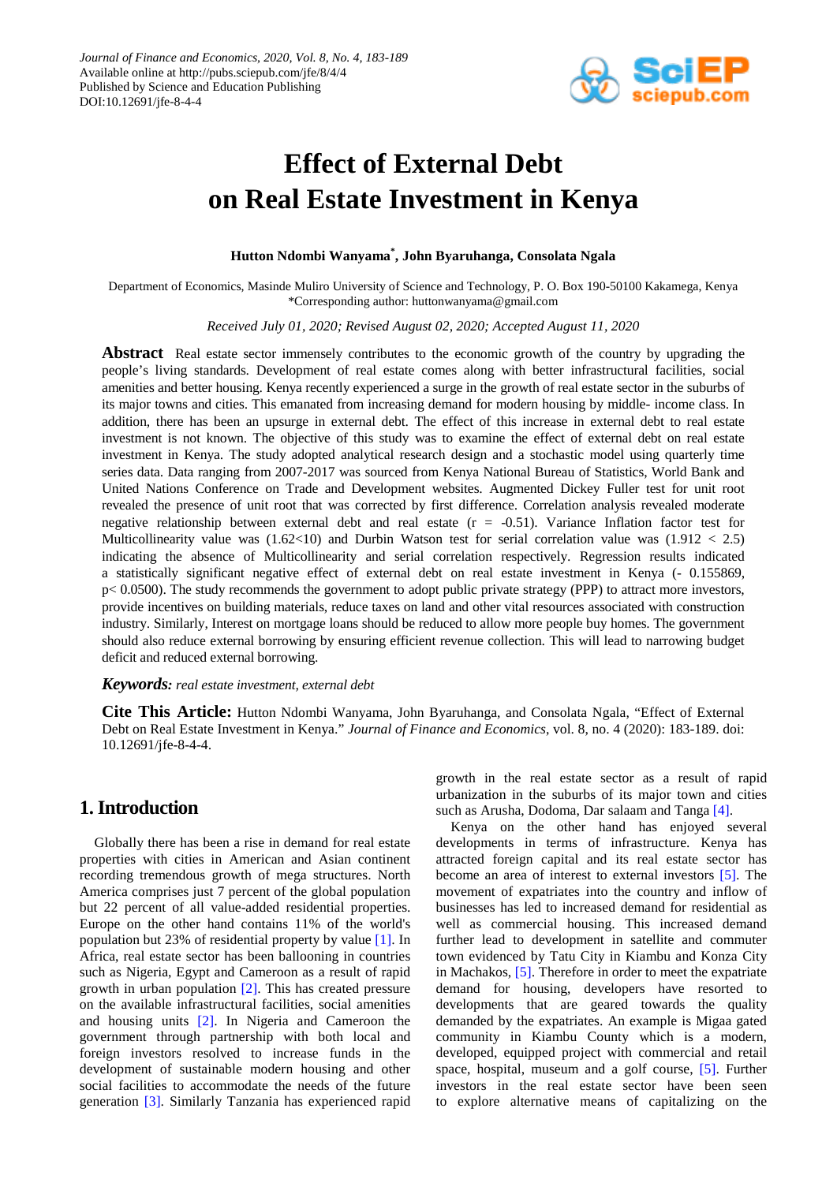

# **Effect of External Debt on Real Estate Investment in Kenya**

#### **Hutton Ndombi Wanyama\* , John Byaruhanga, Consolata Ngala**

Department of Economics, Masinde Muliro University of Science and Technology, P. O. Box 190-50100 Kakamega, Kenya \*Corresponding author: huttonwanyama@gmail.com

*Received July 01, 2020; Revised August 02, 2020; Accepted August 11, 2020*

**Abstract** Real estate sector immensely contributes to the economic growth of the country by upgrading the people's living standards. Development of real estate comes along with better infrastructural facilities, social amenities and better housing. Kenya recently experienced a surge in the growth of real estate sector in the suburbs of its major towns and cities. This emanated from increasing demand for modern housing by middle- income class. In addition, there has been an upsurge in external debt. The effect of this increase in external debt to real estate investment is not known. The objective of this study was to examine the effect of external debt on real estate investment in Kenya. The study adopted analytical research design and a stochastic model using quarterly time series data. Data ranging from 2007-2017 was sourced from Kenya National Bureau of Statistics, World Bank and United Nations Conference on Trade and Development websites. Augmented Dickey Fuller test for unit root revealed the presence of unit root that was corrected by first difference. Correlation analysis revealed moderate negative relationship between external debt and real estate  $(r = -0.51)$ . Variance Inflation factor test for Multicollinearity value was  $(1.62 \times 10)$  and Durbin Watson test for serial correlation value was  $(1.912 < 2.5)$ indicating the absence of Multicollinearity and serial correlation respectively. Regression results indicated a statistically significant negative effect of external debt on real estate investment in Kenya (- 0.155869,  $p< 0.0500$ . The study recommends the government to adopt public private strategy (PPP) to attract more investors, provide incentives on building materials, reduce taxes on land and other vital resources associated with construction industry. Similarly, Interest on mortgage loans should be reduced to allow more people buy homes. The government should also reduce external borrowing by ensuring efficient revenue collection. This will lead to narrowing budget deficit and reduced external borrowing.

#### *Keywords: real estate investment, external debt*

**Cite This Article:** Hutton Ndombi Wanyama, John Byaruhanga, and Consolata Ngala, "Effect of External Debt on Real Estate Investment in Kenya." *Journal of Finance and Economics*, vol. 8, no. 4 (2020): 183-189. doi: 10.12691/jfe-8-4-4.

## **1. Introduction**

Globally there has been a rise in demand for real estate properties with cities in American and Asian continent recording tremendous growth of mega structures. North America comprises just 7 percent of the global population but 22 percent of all value-added residential properties. Europe on the other hand contains 11% of the world's population but 23% of residential property by value [\[1\].](#page-5-0) In Africa, real estate sector has been ballooning in countries such as Nigeria, Egypt and Cameroon as a result of rapid growth in urban population [\[2\].](#page-5-1) This has created pressure on the available infrastructural facilities, social amenities and housing units [\[2\].](#page-5-1) In Nigeria and Cameroon the government through partnership with both local and foreign investors resolved to increase funds in the development of sustainable modern housing and other social facilities to accommodate the needs of the future generation [\[3\].](#page-5-2) Similarly Tanzania has experienced rapid growth in the real estate sector as a result of rapid urbanization in the suburbs of its major town and cities such as Arusha, Dodoma, Dar salaam and Tanga [\[4\].](#page-5-3)

Kenya on the other hand has enjoyed several developments in terms of infrastructure. Kenya has attracted foreign capital and its real estate sector has become an area of interest to external investors [\[5\].](#page-5-4) The movement of expatriates into the country and inflow of businesses has led to increased demand for residential as well as commercial housing. This increased demand further lead to development in satellite and commuter town evidenced by Tatu City in Kiambu and Konza City in Machakos, [\[5\].](#page-5-4) Therefore in order to meet the expatriate demand for housing, developers have resorted to developments that are geared towards the quality demanded by the expatriates. An example is Migaa gated community in Kiambu County which is a modern, developed, equipped project with commercial and retail space, hospital, museum and a golf course, [\[5\].](#page-5-4) Further investors in the real estate sector have been seen to explore alternative means of capitalizing on the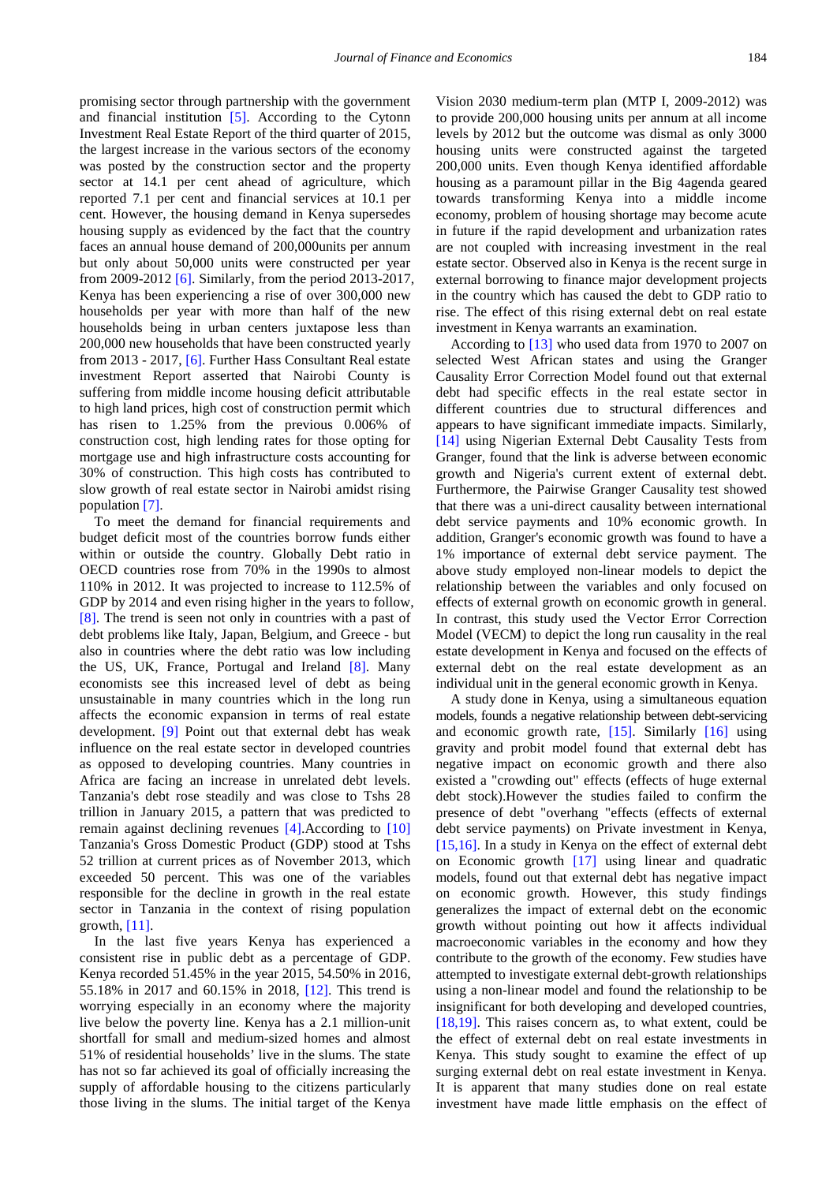promising sector through partnership with the government and financial institution [\[5\].](#page-5-4) According to the Cytonn Investment Real Estate Report of the third quarter of 2015, the largest increase in the various sectors of the economy was posted by the construction sector and the property sector at 14.1 per cent ahead of agriculture, which reported 7.1 per cent and financial services at 10.1 per cent. However, the housing demand in Kenya supersedes housing supply as evidenced by the fact that the country faces an annual house demand of 200,000units per annum but only about 50,000 units were constructed per year from 2009-201[2 \[6\].](#page-5-5) Similarly, from the period 2013-2017, Kenya has been experiencing a rise of over 300,000 new households per year with more than half of the new households being in urban centers juxtapose less than 200,000 new households that have been constructed yearly from 2013 - 2017, [\[6\].](#page-5-5) Further Hass Consultant Real estate investment Report asserted that Nairobi County is suffering from middle income housing deficit attributable to high land prices, high cost of construction permit which has risen to 1.25% from the previous 0.006% of construction cost, high lending rates for those opting for mortgage use and high infrastructure costs accounting for 30% of construction. This high costs has contributed to slow growth of real estate sector in Nairobi amidst rising population [\[7\].](#page-5-6)

To meet the demand for financial requirements and budget deficit most of the countries borrow funds either within or outside the country. Globally Debt ratio in OECD countries rose from 70% in the 1990s to almost 110% in 2012. It was projected to increase to 112.5% of GDP by 2014 and even rising higher in the years to follow, [\[8\].](#page-5-7) The trend is seen not only in countries with a past of debt problems like Italy, Japan, Belgium, and Greece - but also in countries where the debt ratio was low including the US, UK, France, Portugal and Ireland [\[8\].](#page-5-7) Many economists see this increased level of debt as being unsustainable in many countries which in the long run affects the economic expansion in terms of real estate development. [\[9\]](#page-5-8) Point out that external debt has weak influence on the real estate sector in developed countries as opposed to developing countries. Many countries in Africa are facing an increase in unrelated debt levels. Tanzania's debt rose steadily and was close to Tshs 28 trillion in January 2015, a pattern that was predicted to remain against declining revenues [\[4\].A](#page-5-3)ccording to [\[10\]](#page-5-9) Tanzania's Gross Domestic Product (GDP) stood at Tshs 52 trillion at current prices as of November 2013, which exceeded 50 percent. This was one of the variables responsible for the decline in growth in the real estate sector in Tanzania in the context of rising population growth,  $[11]$ .

In the last five years Kenya has experienced a consistent rise in public debt as a percentage of GDP. Kenya recorded 51.45% in the year 2015, 54.50% in 2016, 55.18% in 2017 and 60.15% in 2018, [\[12\].](#page-5-11) This trend is worrying especially in an economy where the majority live below the poverty line. Kenya has a 2.1 million-unit shortfall for small and medium-sized homes and almost 51% of residential households' live in the slums. The state has not so far achieved its goal of officially increasing the supply of affordable housing to the citizens particularly those living in the slums. The initial target of the Kenya

Vision 2030 medium-term plan (MTP I, 2009-2012) was to provide 200,000 housing units per annum at all income levels by 2012 but the outcome was dismal as only 3000 housing units were constructed against the targeted 200,000 units. Even though Kenya identified affordable housing as a paramount pillar in the Big 4agenda geared towards transforming Kenya into a middle income economy, problem of housing shortage may become acute in future if the rapid development and urbanization rates are not coupled with increasing investment in the real estate sector. Observed also in Kenya is the recent surge in external borrowing to finance major development projects in the country which has caused the debt to GDP ratio to rise. The effect of this rising external debt on real estate investment in Kenya warrants an examination.

According to [\[13\]](#page-5-12) who used data from 1970 to 2007 on selected West African states and using the Granger Causality Error Correction Model found out that external debt had specific effects in the real estate sector in different countries due to structural differences and appears to have significant immediate impacts. Similarly, [\[14\]](#page-5-13) using Nigerian External Debt Causality Tests from Granger, found that the link is adverse between economic growth and Nigeria's current extent of external debt. Furthermore, the Pairwise Granger Causality test showed that there was a uni-direct causality between international debt service payments and 10% economic growth. In addition, Granger's economic growth was found to have a 1% importance of external debt service payment. The above study employed non-linear models to depict the relationship between the variables and only focused on effects of external growth on economic growth in general. In contrast, this study used the Vector Error Correction Model (VECM) to depict the long run causality in the real estate development in Kenya and focused on the effects of external debt on the real estate development as an individual unit in the general economic growth in Kenya.

A study done in Kenya, using a simultaneous equation models, founds a negative relationship between debt-servicing and economic growth rate, [\[15\].](#page-5-14) Similarly [\[16\]](#page-5-15) using gravity and probit model found that external debt has negative impact on economic growth and there also existed a "crowding out" effects (effects of huge external debt stock).However the studies failed to confirm the presence of debt "overhang "effects (effects of external debt service payments) on Private investment in Kenya, [\[15,16\].](#page-5-14) In a study in Kenya on the effect of external debt on Economic growth [\[17\]](#page-5-16) using linear and quadratic models, found out that external debt has negative impact on economic growth. However, this study findings generalizes the impact of external debt on the economic growth without pointing out how it affects individual macroeconomic variables in the economy and how they contribute to the growth of the economy. Few studies have attempted to investigate external debt-growth relationships using a non-linear model and found the relationship to be insignificant for both developing and developed countries, [\[18,19\].](#page-5-17) This raises concern as, to what extent, could be the effect of external debt on real estate investments in Kenya. This study sought to examine the effect of up surging external debt on real estate investment in Kenya. It is apparent that many studies done on real estate investment have made little emphasis on the effect of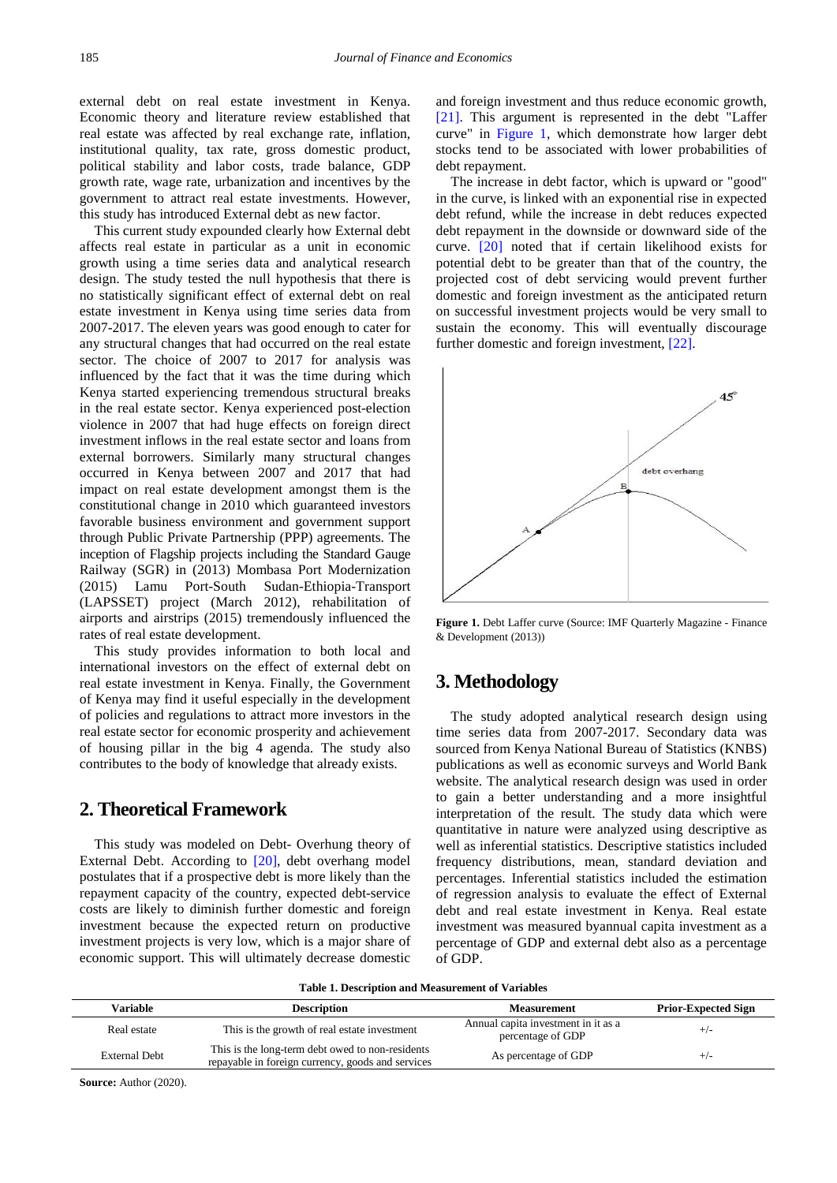external debt on real estate investment in Kenya. Economic theory and literature review established that real estate was affected by real exchange rate, inflation, institutional quality, tax rate, gross domestic product, political stability and labor costs, trade balance, GDP growth rate, wage rate, urbanization and incentives by the government to attract real estate investments. However, this study has introduced External debt as new factor.

This current study expounded clearly how External debt affects real estate in particular as a unit in economic growth using a time series data and analytical research design. The study tested the null hypothesis that there is no statistically significant effect of external debt on real estate investment in Kenya using time series data from 2007-2017. The eleven years was good enough to cater for any structural changes that had occurred on the real estate sector. The choice of 2007 to 2017 for analysis was influenced by the fact that it was the time during which Kenya started experiencing tremendous structural breaks in the real estate sector. Kenya experienced post-election violence in 2007 that had huge effects on foreign direct investment inflows in the real estate sector and loans from external borrowers. Similarly many structural changes occurred in Kenya between 2007 and 2017 that had impact on real estate development amongst them is the constitutional change in 2010 which guaranteed investors favorable business environment and government support through Public Private Partnership (PPP) agreements. The inception of Flagship projects including the Standard Gauge Railway (SGR) in (2013) Mombasa Port Modernization (2015) Lamu Port-South Sudan-Ethiopia-Transport (LAPSSET) project (March 2012), rehabilitation of airports and airstrips (2015) tremendously influenced the rates of real estate development.

This study provides information to both local and international investors on the effect of external debt on real estate investment in Kenya. Finally, the Government of Kenya may find it useful especially in the development of policies and regulations to attract more investors in the real estate sector for economic prosperity and achievement of housing pillar in the big 4 agenda. The study also contributes to the body of knowledge that already exists.

#### **2. Theoretical Framework**

This study was modeled on Debt- Overhung theory of External Debt. According to [\[20\],](#page-5-18) debt overhang model postulates that if a prospective debt is more likely than the repayment capacity of the country, expected debt-service costs are likely to diminish further domestic and foreign investment because the expected return on productive investment projects is very low, which is a major share of economic support. This will ultimately decrease domestic and foreign investment and thus reduce economic growth, [\[21\].](#page-5-19) This argument is represented in the debt "Laffer curve" in [Figure 1,](#page-2-0) which demonstrate how larger debt stocks tend to be associated with lower probabilities of debt repayment.

The increase in debt factor, which is upward or "good" in the curve, is linked with an exponential rise in expected debt refund, while the increase in debt reduces expected debt repayment in the downside or downward side of the curve. [\[20\]](#page-5-18) noted that if certain likelihood exists for potential debt to be greater than that of the country, the projected cost of debt servicing would prevent further domestic and foreign investment as the anticipated return on successful investment projects would be very small to sustain the economy. This will eventually discourage further domestic and foreign investment[, \[22\].](#page-5-20)

<span id="page-2-0"></span>

**Figure 1.** Debt Laffer curve (Source: IMF Quarterly Magazine - Finance & Development (2013))

## **3. Methodology**

The study adopted analytical research design using time series data from 2007-2017. Secondary data was sourced from Kenya National Bureau of Statistics (KNBS) publications as well as economic surveys and World Bank website. The analytical research design was used in order to gain a better understanding and a more insightful interpretation of the result. The study data which were quantitative in nature were analyzed using descriptive as well as inferential statistics. Descriptive statistics included frequency distributions, mean, standard deviation and percentages. Inferential statistics included the estimation of regression analysis to evaluate the effect of External debt and real estate investment in Kenya. Real estate investment was measured byannual capita investment as a percentage of GDP and external debt also as a percentage of GDP.

|  |  |  |  | Table 1. Description and Measurement of Variables |  |
|--|--|--|--|---------------------------------------------------|--|
|--|--|--|--|---------------------------------------------------|--|

| Variable             | <b>Description</b>                                                                                    | <b>Measurement</b>                                       | <b>Prior-Expected Sign</b> |
|----------------------|-------------------------------------------------------------------------------------------------------|----------------------------------------------------------|----------------------------|
| Real estate          | This is the growth of real estate investment                                                          | Annual capita investment in it as a<br>percentage of GDP | $+/-$                      |
| <b>External Debt</b> | This is the long-term debt owed to non-residents<br>repayable in foreign currency, goods and services | As percentage of GDP                                     | $^{+/-}$                   |

**Source:** Author (2020).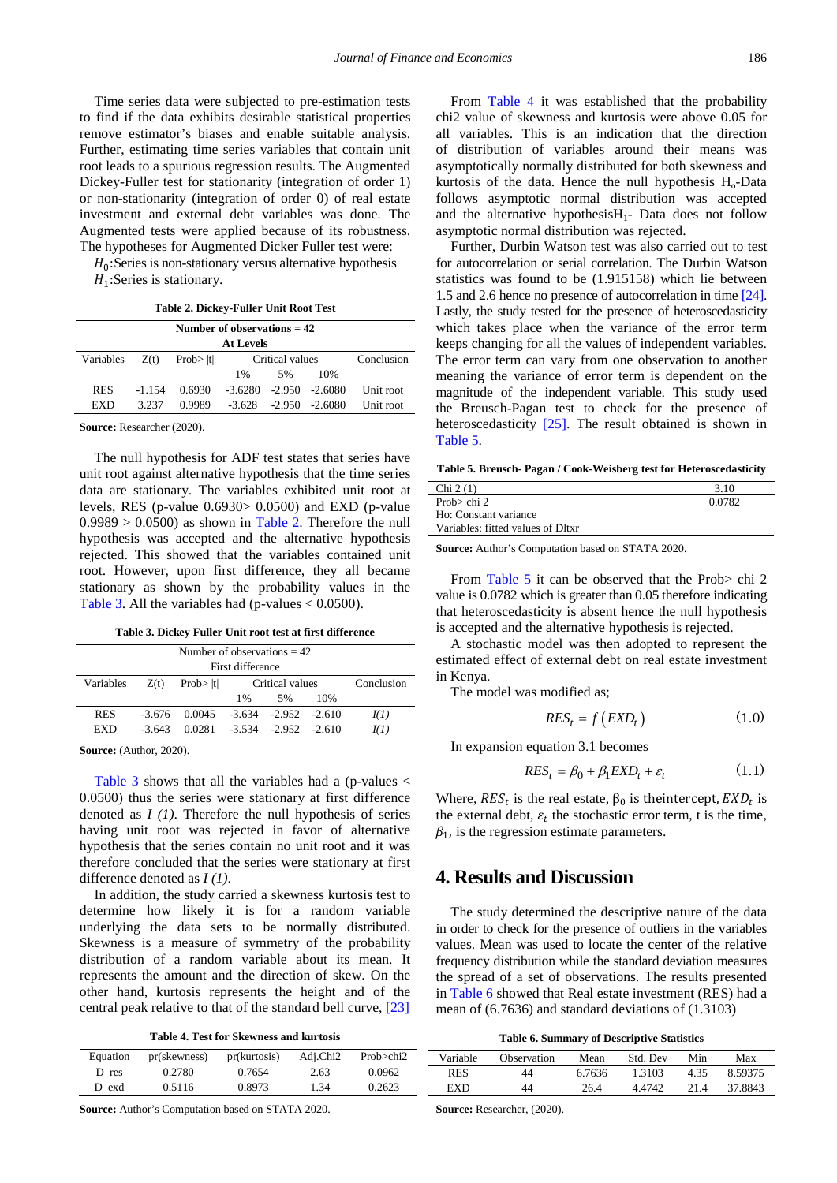Time series data were subjected to pre-estimation tests to find if the data exhibits desirable statistical properties remove estimator's biases and enable suitable analysis. Further, estimating time series variables that contain unit root leads to a spurious regression results. The Augmented Dickey-Fuller test for stationarity (integration of order 1) or non-stationarity (integration of order 0) of real estate investment and external debt variables was done. The Augmented tests were applied because of its robustness. The hypotheses for Augmented Dicker Fuller test were:

 $H_0$ : Series is non-stationary versus alternative hypothesis  $H_1$ : Series is stationary.

<span id="page-3-0"></span>

| Number of observations $= 42$                                      |          |        |                              |    |                   |           |  |  |
|--------------------------------------------------------------------|----------|--------|------------------------------|----|-------------------|-----------|--|--|
| <b>At Levels</b>                                                   |          |        |                              |    |                   |           |  |  |
| Conclusion<br>Critical values<br>Prob $>  t $<br>Variables<br>Z(t) |          |        |                              |    |                   |           |  |  |
|                                                                    |          |        | $1\%$                        | 5% | 10%               |           |  |  |
| <b>RES</b>                                                         | $-1.154$ | 0.6930 | $-3.6280$ $-2.950$ $-2.6080$ |    |                   | Unit root |  |  |
| EXD                                                                | 3.237    | 0.9989 | $-3.628$                     |    | $-2.950 - 2.6080$ | Unit root |  |  |

**Source:** Researcher (2020).

The null hypothesis for ADF test states that series have unit root against alternative hypothesis that the time series data are stationary. The variables exhibited unit root at levels, RES (p-value 0.6930> 0.0500) and EXD (p-value  $0.9989 > 0.0500$  as shown in [Table 2.](#page-3-0) Therefore the null hypothesis was accepted and the alternative hypothesis rejected. This showed that the variables contained unit root. However, upon first difference, they all became stationary as shown by the probability values in the [Table 3.](#page-3-1) All the variables had (p-values  $< 0.0500$ ).

**Table 3. Dickey Fuller Unit root test at first difference**

<span id="page-3-1"></span>

| Number of observations $= 42$ |          |                                              |       |                            |     |             |  |  |
|-------------------------------|----------|----------------------------------------------|-------|----------------------------|-----|-------------|--|--|
| First difference              |          |                                              |       |                            |     |             |  |  |
| Variables                     | Z(t)     | Critical values<br>Conclusion<br>Prob>  t    |       |                            |     |             |  |  |
|                               |          |                                              | $1\%$ | 5%                         | 10% |             |  |  |
| <b>RES</b>                    |          | $-3.676$ $0.0045$ $-3.634$ $-2.952$ $-2.610$ |       |                            |     | I(1)        |  |  |
| EXD                           | $-3.643$ | 0.0281                                       |       | $-3.534$ $-2.952$ $-2.610$ |     | <i>I(1)</i> |  |  |

**Source:** (Author, 2020).

[Table 3](#page-3-1) shows that all the variables had a (p-values  $\lt$ 0.0500) thus the series were stationary at first difference denoted as *I (1)*. Therefore the null hypothesis of series having unit root was rejected in favor of alternative hypothesis that the series contain no unit root and it was therefore concluded that the series were stationary at first difference denoted as *I (1)*.

In addition, the study carried a skewness kurtosis test to determine how likely it is for a random variable underlying the data sets to be normally distributed. Skewness is a measure of symmetry of the probability distribution of a random variable about its mean. It represents the amount and the direction of skew. On the other hand, kurtosis represents the height and of the central peak relative to that of the standard bell curve[, \[23\]](#page-5-21)

**Table 4. Test for Skewness and kurtosis**

From [Table 4](#page-3-2) it was established that the probability chi2 value of skewness and kurtosis were above 0.05 for all variables. This is an indication that the direction of distribution of variables around their means was asymptotically normally distributed for both skewness and kurtosis of the data. Hence the null hypothesis  $H_0$ -Data follows asymptotic normal distribution was accepted and the alternative hypothesis $H_1$ - Data does not follow asymptotic normal distribution was rejected.

Further, Durbin Watson test was also carried out to test for autocorrelation or serial correlation. The Durbin Watson statistics was found to be (1.915158) which lie between 1.5 and 2.6 hence no presence of autocorrelation in tim[e \[24\].](#page-5-22) Lastly, the study tested for the presence of heteroscedasticity which takes place when the variance of the error term keeps changing for all the values of independent variables. The error term can vary from one observation to another meaning the variance of error term is dependent on the magnitude of the independent variable. This study used the Breusch-Pagan test to check for the presence of heteroscedasticity [\[25\].](#page-5-23) The result obtained is shown in [Table 5.](#page-3-3)

**Table 5. Breusch- Pagan / Cook-Weisberg test for Heteroscedasticity**

<span id="page-3-3"></span>

| Chi 2(1)                          | 3.10   |
|-----------------------------------|--------|
| Prob $>$ chi 2                    | 0.0782 |
|                                   |        |
| Ho: Constant variance             |        |
| Variables: fitted values of Dltxr |        |
|                                   |        |

**Source:** Author's Computation based on STATA 2020.

From [Table 5](#page-3-3) it can be observed that the Prob> chi 2 value is 0.0782 which is greater than 0.05 therefore indicating that heteroscedasticity is absent hence the null hypothesis is accepted and the alternative hypothesis is rejected.

A stochastic model was then adopted to represent the estimated effect of external debt on real estate investment in Kenya.

The model was modified as;

$$
RES_t = f\left( EXP_t\right) \tag{1.0}
$$

In expansion equation 3.1 becomes

$$
RES_t = \beta_0 + \beta_1 EXD_t + \varepsilon_t \tag{1.1}
$$

Where,  $RES<sub>t</sub>$  is the real estate,  $\beta_0$  is the intercept,  $END<sub>t</sub>$  is the external debt,  $\varepsilon_t$  the stochastic error term, t is the time,  $\beta_1$ , is the regression estimate parameters.

### **4. Results and Discussion**

The study determined the descriptive nature of the data in order to check for the presence of outliers in the variables values. Mean was used to locate the center of the relative frequency distribution while the standard deviation measures the spread of a set of observations. The results presented in [Table 6](#page-3-4) showed that Real estate investment (RES) had a mean of (6.7636) and standard deviations of (1.3103)

| <b>Table 6. Summary of Descriptive Statistics</b> |  |  |  |
|---------------------------------------------------|--|--|--|
|---------------------------------------------------|--|--|--|

<span id="page-3-2"></span>

| Equation | pr(skewness) | pr(kurtosis)      | Adi.Chi2 | $Prob$ >chi2 | Variable   | Observation | Mean   | Std.<br>Dev | Min | Max     |
|----------|--------------|-------------------|----------|--------------|------------|-------------|--------|-------------|-----|---------|
| $D$ res  | 0.2780       | <sup>3,7654</sup> | 2.63     | 0.0962       | <b>RES</b> | 44          | 6.7636 | .3103       |     | 8.59375 |
| D exd    | 0.5116       | 0.8973            | 1.34     | 0.2623       | EXD        | 44          | 26.4   | 4.4742      |     | 37.8843 |

**Source:** Author's Computation based on STATA 2020.

<span id="page-3-4"></span>**Source:** Researcher, (2020).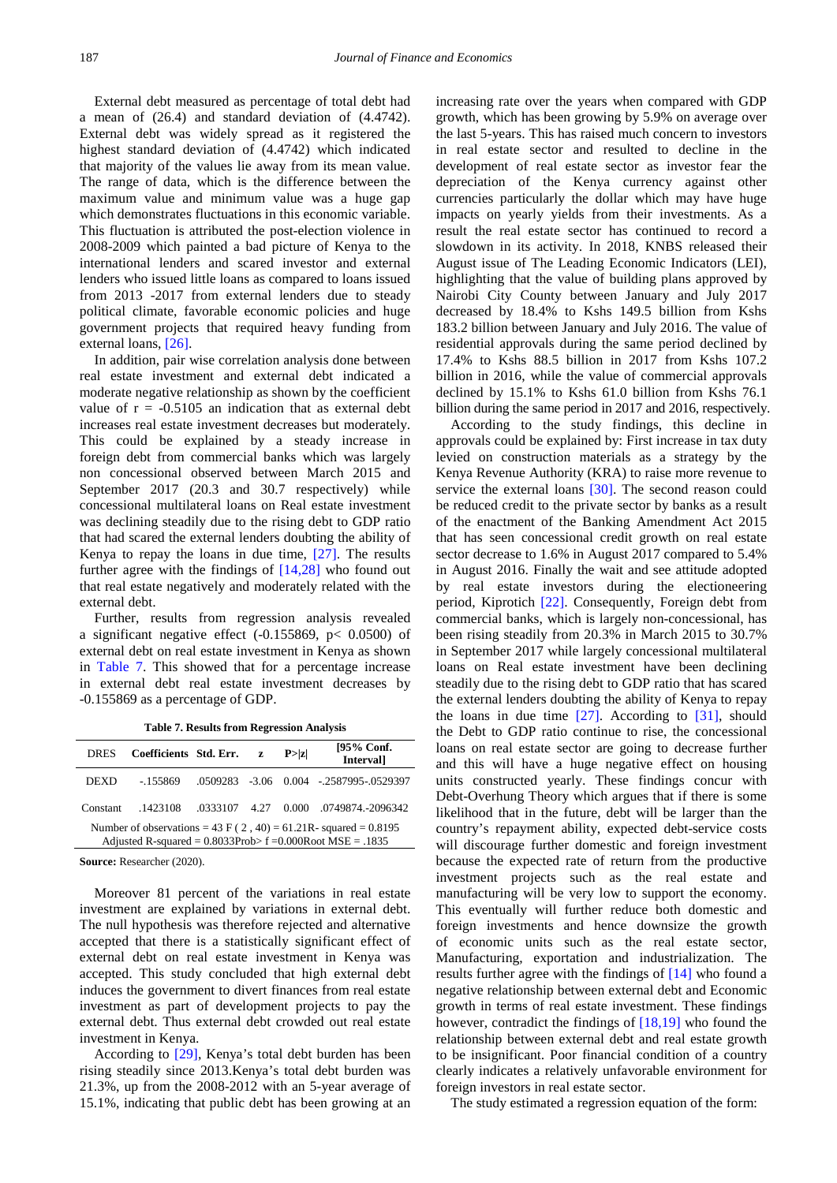External debt measured as percentage of total debt had a mean of (26.4) and standard deviation of (4.4742). External debt was widely spread as it registered the highest standard deviation of (4.4742) which indicated that majority of the values lie away from its mean value. The range of data, which is the difference between the maximum value and minimum value was a huge gap which demonstrates fluctuations in this economic variable. This fluctuation is attributed the post-election violence in 2008-2009 which painted a bad picture of Kenya to the international lenders and scared investor and external lenders who issued little loans as compared to loans issued from 2013 -2017 from external lenders due to steady political climate, favorable economic policies and huge government projects that required heavy funding from external loans, [\[26\].](#page-5-24)

In addition, pair wise correlation analysis done between real estate investment and external debt indicated a moderate negative relationship as shown by the coefficient value of  $r = -0.5105$  an indication that as external debt increases real estate investment decreases but moderately. This could be explained by a steady increase in foreign debt from commercial banks which was largely non concessional observed between March 2015 and September 2017 (20.3 and 30.7 respectively) while concessional multilateral loans on Real estate investment was declining steadily due to the rising debt to GDP ratio that had scared the external lenders doubting the ability of Kenya to repay the loans in due time, [\[27\].](#page-5-25) The results further agree with the findings of  $[14,28]$  who found out that real estate negatively and moderately related with the external debt.

Further, results from regression analysis revealed a significant negative effect  $(-0.155869, p < 0.0500)$  of external debt on real estate investment in Kenya as shown in [Table 7.](#page-4-0) This showed that for a percentage increase in external debt real estate investment decreases by -0.155869 as a percentage of GDP.

|  |  |  |  |  | <b>Table 7. Results from Regression Analysis</b> |  |
|--|--|--|--|--|--------------------------------------------------|--|
|--|--|--|--|--|--------------------------------------------------|--|

<span id="page-4-0"></span>

| <b>DRES</b>                                                                                                                          | Coefficients Std. Err. |  | Z. | P >  z | [95% Conf.<br><b>Intervall</b>        |  |  |
|--------------------------------------------------------------------------------------------------------------------------------------|------------------------|--|----|--------|---------------------------------------|--|--|
| DEXD                                                                                                                                 | $-155869$              |  |    |        | 0.509283 -3.06 0.004 -2587995-0529397 |  |  |
| Constant                                                                                                                             | -1423108               |  |    |        | .0333107 4.27 0.000 .0749874.-2096342 |  |  |
| Number of observations = 43 F ( $2, 40$ ) = 61.21R- squared = 0.8195<br>Adjusted R-squared = $0.8033Prob > f = 0.000RootMSE = .1835$ |                        |  |    |        |                                       |  |  |

**Source:** Researcher (2020).

Moreover 81 percent of the variations in real estate investment are explained by variations in external debt. The null hypothesis was therefore rejected and alternative accepted that there is a statistically significant effect of external debt on real estate investment in Kenya was accepted. This study concluded that high external debt induces the government to divert finances from real estate investment as part of development projects to pay the external debt. Thus external debt crowded out real estate investment in Kenya.

According to [\[29\],](#page-6-0) Kenya's total debt burden has been rising steadily since 2013.Kenya's total debt burden was 21.3%, up from the 2008-2012 with an 5-year average of 15.1%, indicating that public debt has been growing at an

increasing rate over the years when compared with GDP growth, which has been growing by 5.9% on average over the last 5-years. This has raised much concern to investors in real estate sector and resulted to decline in the development of real estate sector as investor fear the depreciation of the Kenya currency against other currencies particularly the dollar which may have huge impacts on yearly yields from their investments. As a result the real estate sector has continued to record a slowdown in its activity. In 2018, KNBS released their August issue of The Leading Economic Indicators (LEI), highlighting that the value of building plans approved by Nairobi City County between January and July 2017 decreased by 18.4% to Kshs 149.5 billion from Kshs 183.2 billion between January and July 2016. The value of residential approvals during the same period declined by 17.4% to Kshs 88.5 billion in 2017 from Kshs 107.2 billion in 2016, while the value of commercial approvals declined by 15.1% to Kshs 61.0 billion from Kshs 76.1 billion during the same period in 2017 and 2016, respectively.

According to the study findings, this decline in approvals could be explained by: First increase in tax duty levied on construction materials as a strategy by the Kenya Revenue Authority (KRA) to raise more revenue to service the external loans [\[30\].](#page-6-1) The second reason could be reduced credit to the private sector by banks as a result of the enactment of the Banking Amendment Act 2015 that has seen concessional credit growth on real estate sector decrease to 1.6% in August 2017 compared to 5.4% in August 2016. Finally the wait and see attitude adopted by real estate investors during the electioneering period, Kiprotich [\[22\].](#page-5-20) Consequently, Foreign debt from commercial banks, which is largely non-concessional, has been rising steadily from 20.3% in March 2015 to 30.7% in September 2017 while largely concessional multilateral loans on Real estate investment have been declining steadily due to the rising debt to GDP ratio that has scared the external lenders doubting the ability of Kenya to repay the loans in due time [\[27\].](#page-5-25) According to [\[31\],](#page-6-2) should the Debt to GDP ratio continue to rise, the concessional loans on real estate sector are going to decrease further and this will have a huge negative effect on housing units constructed yearly. These findings concur with Debt-Overhung Theory which argues that if there is some likelihood that in the future, debt will be larger than the country's repayment ability, expected debt-service costs will discourage further domestic and foreign investment because the expected rate of return from the productive investment projects such as the real estate and manufacturing will be very low to support the economy. This eventually will further reduce both domestic and foreign investments and hence downsize the growth of economic units such as the real estate sector, Manufacturing, exportation and industrialization. The results further agree with the findings of [\[14\]](#page-5-13) who found a negative relationship between external debt and Economic growth in terms of real estate investment. These findings however, contradict the findings of  $[18,19]$  who found the relationship between external debt and real estate growth to be insignificant. Poor financial condition of a country clearly indicates a relatively unfavorable environment for foreign investors in real estate sector.

The study estimated a regression equation of the form: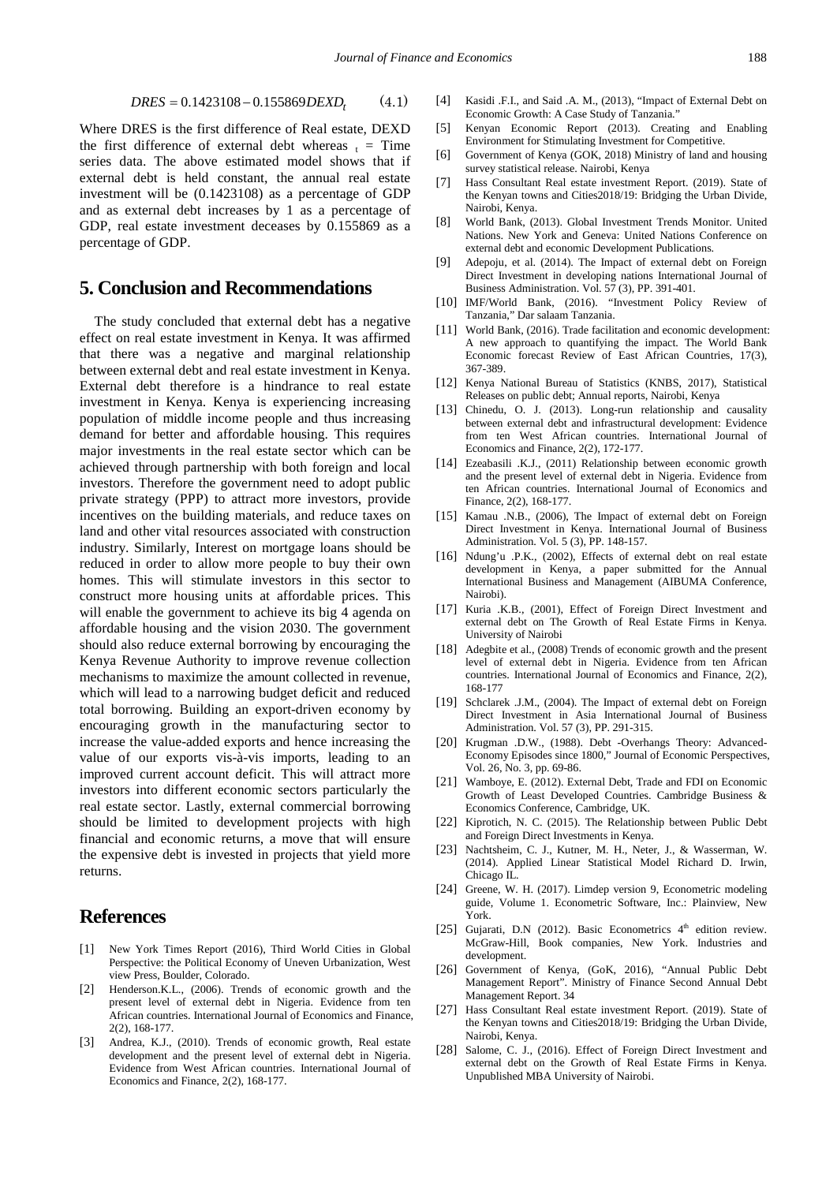$$
DRES = 0.1423108 - 0.155869 DEXD_t \tag{4.1}
$$

Where DRES is the first difference of Real estate, DEXD the first difference of external debt whereas  $t =$ Time series data. The above estimated model shows that if external debt is held constant, the annual real estate investment will be (0.1423108) as a percentage of GDP and as external debt increases by 1 as a percentage of GDP, real estate investment deceases by 0.155869 as a percentage of GDP.

#### **5. Conclusion and Recommendations**

The study concluded that external debt has a negative effect on real estate investment in Kenya. It was affirmed that there was a negative and marginal relationship between external debt and real estate investment in Kenya. External debt therefore is a hindrance to real estate investment in Kenya. Kenya is experiencing increasing population of middle income people and thus increasing demand for better and affordable housing. This requires major investments in the real estate sector which can be achieved through partnership with both foreign and local investors. Therefore the government need to adopt public private strategy (PPP) to attract more investors, provide incentives on the building materials, and reduce taxes on land and other vital resources associated with construction industry. Similarly, Interest on mortgage loans should be reduced in order to allow more people to buy their own homes. This will stimulate investors in this sector to construct more housing units at affordable prices. This will enable the government to achieve its big 4 agenda on affordable housing and the vision 2030. The government should also reduce external borrowing by encouraging the Kenya Revenue Authority to improve revenue collection mechanisms to maximize the amount collected in revenue, which will lead to a narrowing budget deficit and reduced total borrowing. Building an export-driven economy by encouraging growth in the manufacturing sector to increase the value-added exports and hence increasing the value of our exports vis-à-vis imports, leading to an improved current account deficit. This will attract more investors into different economic sectors particularly the real estate sector. Lastly, external commercial borrowing should be limited to development projects with high financial and economic returns, a move that will ensure the expensive debt is invested in projects that yield more returns.

#### **References**

- <span id="page-5-0"></span>[1] New York Times Report (2016), Third World Cities in Global Perspective: the Political Economy of Uneven Urbanization, West view Press, Boulder, Colorado.
- <span id="page-5-1"></span>[2] Henderson.K.L., (2006). Trends of economic growth and the present level of external debt in Nigeria. Evidence from ten African countries. International Journal of Economics and Finance, 2(2), 168-177.
- <span id="page-5-2"></span>[3] Andrea, K.J., (2010). Trends of economic growth, Real estate development and the present level of external debt in Nigeria. Evidence from West African countries. International Journal of Economics and Finance, 2(2), 168-177.
- <span id="page-5-3"></span>[4] Kasidi .F.I., and Said .A. M., (2013), "Impact of External Debt on Economic Growth: A Case Study of Tanzania."
- <span id="page-5-4"></span>[5] Kenyan Economic Report (2013). Creating and Enabling Environment for Stimulating Investment for Competitive.
- <span id="page-5-5"></span>[6] Government of Kenya (GOK, 2018) Ministry of land and housing survey statistical release. Nairobi, Kenya
- <span id="page-5-6"></span>[7] Hass Consultant Real estate investment Report. (2019). State of the Kenyan towns and Cities2018/19: Bridging the Urban Divide, Nairobi, Kenya.
- <span id="page-5-7"></span>[8] World Bank, (2013). Global Investment Trends Monitor. United Nations. New York and Geneva: United Nations Conference on external debt and economic Development Publications.
- <span id="page-5-8"></span>[9] Adepoju, et al. (2014). The Impact of external debt on Foreign Direct Investment in developing nations International Journal of Business Administration. Vol. 57 (3), PP. 391-401.
- <span id="page-5-9"></span>[10] IMF/World Bank, (2016). "Investment Policy Review of Tanzania," Dar salaam Tanzania.
- <span id="page-5-10"></span>[11] World Bank, (2016). Trade facilitation and economic development: A new approach to quantifying the impact. The World Bank Economic forecast Review of East African Countries, 17(3), 367-389.
- <span id="page-5-11"></span>[12] Kenya National Bureau of Statistics (KNBS, 2017), Statistical Releases on public debt; Annual reports, Nairobi, Kenya
- <span id="page-5-12"></span>[13] Chinedu, O. J. (2013). Long-run relationship and causality between external debt and infrastructural development: Evidence from ten West African countries. International Journal of Economics and Finance, 2(2), 172-177.
- <span id="page-5-13"></span>[14] Ezeabasili .K.J., (2011) Relationship between economic growth and the present level of external debt in Nigeria. Evidence from ten African countries. International Journal of Economics and Finance, 2(2), 168-177.
- <span id="page-5-14"></span>[15] Kamau .N.B., (2006), The Impact of external debt on Foreign Direct Investment in Kenya. International Journal of Business Administration. Vol. 5 (3), PP. 148-157.
- <span id="page-5-15"></span>[16] Ndung'u .P.K., (2002), Effects of external debt on real estate development in Kenya, a paper submitted for the Annual International Business and Management (AIBUMA Conference, Nairobi).
- <span id="page-5-16"></span>[17] Kuria .K.B., (2001), Effect of Foreign Direct Investment and external debt on The Growth of Real Estate Firms in Kenya. University of Nairobi
- <span id="page-5-17"></span>[18] Adegbite et al., (2008) Trends of economic growth and the present level of external debt in Nigeria. Evidence from ten African countries. International Journal of Economics and Finance, 2(2), 168-177
- [19] Schclarek .J.M., (2004). The Impact of external debt on Foreign Direct Investment in Asia International Journal of Business Administration. Vol. 57 (3), PP. 291-315.
- <span id="page-5-18"></span>[20] Krugman .D.W., (1988). Debt -Overhangs Theory: Advanced-Economy Episodes since 1800," Journal of Economic Perspectives, Vol. 26, No. 3, pp. 69-86.
- <span id="page-5-19"></span>[21] Wamboye, E. (2012). External Debt, Trade and FDI on Economic Growth of Least Developed Countries. Cambridge Business & Economics Conference, Cambridge, UK.
- <span id="page-5-20"></span>[22] Kiprotich, N. C. (2015). The Relationship between Public Debt and Foreign Direct Investments in Kenya.
- <span id="page-5-21"></span>[23] Nachtsheim, C. J., Kutner, M. H., Neter, J., & Wasserman, W. (2014). Applied Linear Statistical Model Richard D. Irwin, Chicago IL.
- <span id="page-5-22"></span>[24] Greene, W. H. (2017). Limdep version 9, Econometric modeling guide, Volume 1. Econometric Software, Inc.: Plainview, New York.
- <span id="page-5-23"></span>[25] Gujarati, D.N (2012). Basic Econometrics  $4<sup>th</sup>$  edition review. McGraw-Hill, Book companies, New York. Industries and development.
- <span id="page-5-24"></span>[26] Government of Kenya, (GoK, 2016), "Annual Public Debt Management Report". Ministry of Finance Second Annual Debt Management Report. 34
- <span id="page-5-25"></span>[27] Hass Consultant Real estate investment Report. (2019). State of the Kenyan towns and Cities2018/19: Bridging the Urban Divide, Nairobi, Kenya.
- [28] Salome, C. J., (2016). Effect of Foreign Direct Investment and external debt on the Growth of Real Estate Firms in Kenya. Unpublished MBA University of Nairobi.